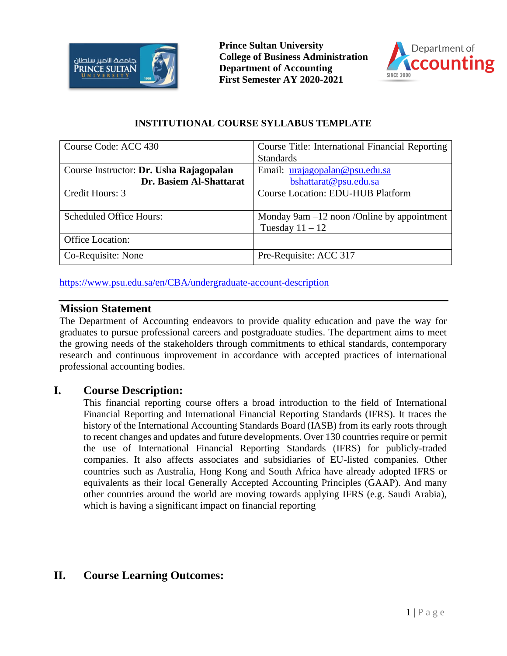



## **INSTITUTIONAL COURSE SYLLABUS TEMPLATE**

| Course Code: ACC 430                    | Course Title: International Financial Reporting |
|-----------------------------------------|-------------------------------------------------|
|                                         | <b>Standards</b>                                |
| Course Instructor: Dr. Usha Rajagopalan | Email: urajagopalan@psu.edu.sa                  |
| Dr. Basiem Al-Shattarat                 | bshattarat@psu.edu.sa                           |
| Credit Hours: 3                         | <b>Course Location: EDU-HUB Platform</b>        |
|                                         |                                                 |
| <b>Scheduled Office Hours:</b>          | Monday $9am - 12$ noon /Online by appointment   |
|                                         | Tuesday $11 - 12$                               |
| Office Location:                        |                                                 |
| Co-Requisite: None                      | Pre-Requisite: ACC 317                          |

<https://www.psu.edu.sa/en/CBA/undergraduate-account-description>

## **Mission Statement**

The Department of Accounting endeavors to provide quality education and pave the way for graduates to pursue professional careers and postgraduate studies. The department aims to meet the growing needs of the stakeholders through commitments to ethical standards, contemporary research and continuous improvement in accordance with accepted practices of international professional accounting bodies.

# **I. Course Description:**

This financial reporting course offers a broad introduction to the field of International Financial Reporting and International Financial Reporting Standards (IFRS). It traces the history of the International Accounting Standards Board (IASB) from its early roots through to recent changes and updates and future developments. Over 130 countries require or permit the use of International Financial Reporting Standards (IFRS) for publicly-traded companies. It also affects associates and subsidiaries of EU-listed companies. Other countries such as Australia, Hong Kong and South Africa have already adopted IFRS or equivalents as their local Generally Accepted Accounting Principles (GAAP). And many other countries around the world are moving towards applying IFRS (e.g. Saudi Arabia), which is having a significant impact on financial reporting

# **II. Course Learning Outcomes:**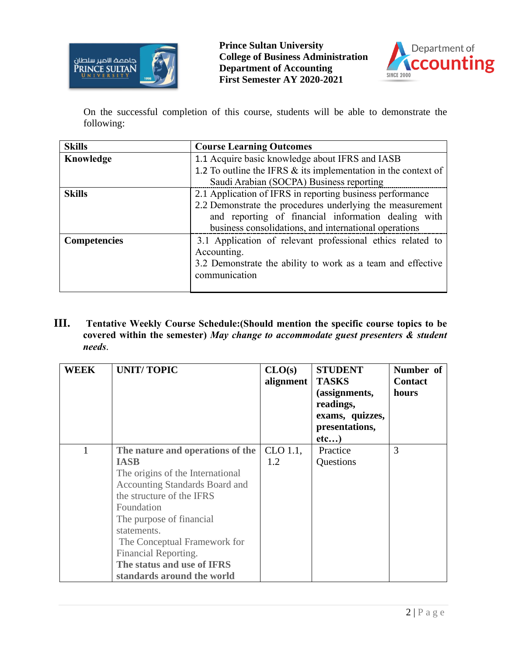



On the successful completion of this course, students will be able to demonstrate the following:

| <b>Skills</b>       | <b>Course Learning Outcomes</b>                                   |  |  |
|---------------------|-------------------------------------------------------------------|--|--|
| Knowledge           | 1.1 Acquire basic knowledge about IFRS and IASB                   |  |  |
|                     | 1.2 To outline the IFRS $\&$ its implementation in the context of |  |  |
|                     | Saudi Arabian (SOCPA) Business reporting                          |  |  |
| <b>Skills</b>       | 2.1 Application of IFRS in reporting business performance         |  |  |
|                     | 2.2 Demonstrate the procedures underlying the measurement         |  |  |
|                     | and reporting of financial information dealing with               |  |  |
|                     | business consolidations, and international operations             |  |  |
| <b>Competencies</b> | 3.1 Application of relevant professional ethics related to        |  |  |
|                     | Accounting.                                                       |  |  |
|                     | 3.2 Demonstrate the ability to work as a team and effective       |  |  |
|                     | communication                                                     |  |  |
|                     |                                                                   |  |  |

**III. Tentative Weekly Course Schedule:(Should mention the specific course topics to be covered within the semester)** *May change to accommodate guest presenters & student needs*.

| <b>WEEK</b> | <b>UNIT/TOPIC</b>                                                                                                                                                                                                                                                                                                                      | CLO(s)<br>alignment | <b>STUDENT</b><br><b>TASKS</b><br>(assignments,<br>readings,<br>exams, quizzes,<br>presentations,<br>etc) | Number of<br><b>Contact</b><br>hours |
|-------------|----------------------------------------------------------------------------------------------------------------------------------------------------------------------------------------------------------------------------------------------------------------------------------------------------------------------------------------|---------------------|-----------------------------------------------------------------------------------------------------------|--------------------------------------|
|             | The nature and operations of the<br><b>IASB</b><br>The origins of the International<br><b>Accounting Standards Board and</b><br>the structure of the IFRS<br>Foundation<br>The purpose of financial<br>statements.<br>The Conceptual Framework for<br>Financial Reporting.<br>The status and use of IFRS<br>standards around the world | CLO 1.1,<br>1.2     | Practice<br>Questions                                                                                     | 3                                    |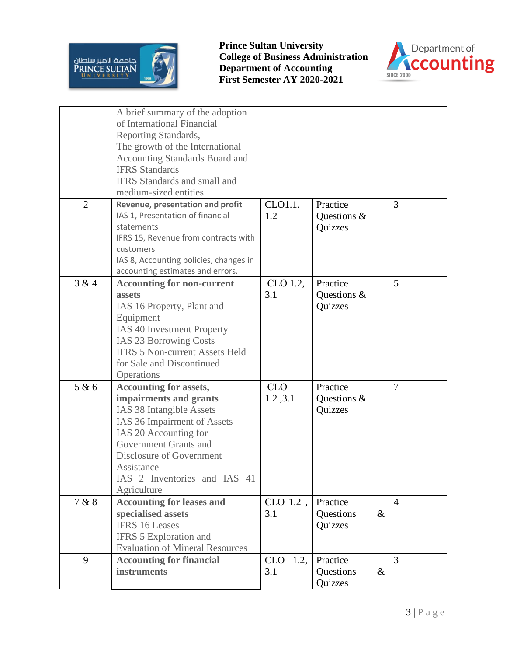



|                | A brief summary of the adoption<br>of International Financial<br>Reporting Standards,<br>The growth of the International<br>Accounting Standards Board and<br><b>IFRS</b> Standards<br><b>IFRS</b> Standards and small and<br>medium-sized entities           |                           |                                          |                |
|----------------|---------------------------------------------------------------------------------------------------------------------------------------------------------------------------------------------------------------------------------------------------------------|---------------------------|------------------------------------------|----------------|
| $\overline{2}$ | Revenue, presentation and profit<br>IAS 1, Presentation of financial<br>statements<br>IFRS 15, Revenue from contracts with<br>customers<br>IAS 8, Accounting policies, changes in<br>accounting estimates and errors.                                         | CLO1.1.<br>1.2            | Practice<br>Questions &<br>Quizzes       | 3              |
| 3 & 4          | <b>Accounting for non-current</b><br>assets<br>IAS 16 Property, Plant and<br>Equipment<br>IAS 40 Investment Property<br><b>IAS 23 Borrowing Costs</b><br><b>IFRS 5 Non-current Assets Held</b><br>for Sale and Discontinued<br>Operations                     | CLO 1.2,<br>3.1           | Practice<br>Questions &<br>Quizzes       | 5              |
| 5 & 6          | <b>Accounting for assets,</b><br>impairments and grants<br>IAS 38 Intangible Assets<br>IAS 36 Impairment of Assets<br>IAS 20 Accounting for<br>Government Grants and<br>Disclosure of Government<br>Assistance<br>IAS 2 Inventories and IAS 41<br>Agriculture | <b>CLO</b><br>1.2,3.1     | Practice<br>Questions &<br>Quizzes       | 7              |
| 7 & 8          | <b>Accounting for leases and</b><br>specialised assets<br><b>IFRS 16 Leases</b><br>IFRS 5 Exploration and<br><b>Evaluation of Mineral Resources</b>                                                                                                           | CLO 1.2,<br>3.1           | Practice<br>Questions<br>$\&$<br>Quizzes | $\overline{4}$ |
| 9              | <b>Accounting for financial</b><br>instruments                                                                                                                                                                                                                | 1.2,<br><b>CLO</b><br>3.1 | Practice<br>Questions<br>$\&$<br>Quizzes | $\overline{3}$ |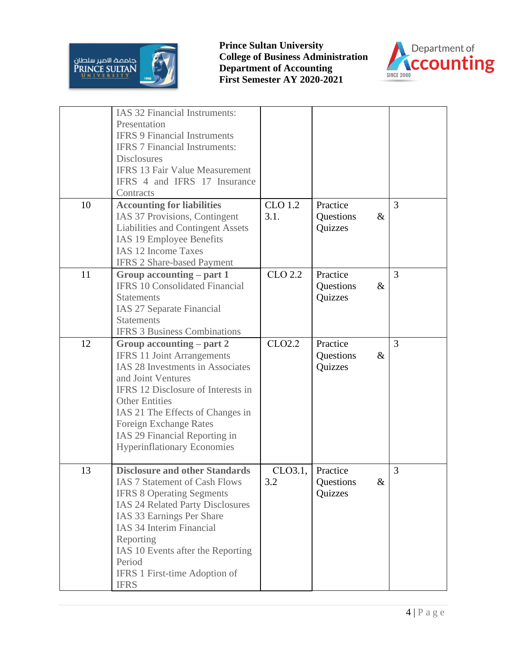



|    | IAS 32 Financial Instruments:<br>Presentation<br><b>IFRS 9 Financial Instruments</b><br><b>IFRS 7 Financial Instruments:</b><br><b>Disclosures</b><br><b>IFRS 13 Fair Value Measurement</b><br>IFRS 4 and IFRS 17 Insurance<br>Contracts                                                                                          |                        |                                          |   |
|----|-----------------------------------------------------------------------------------------------------------------------------------------------------------------------------------------------------------------------------------------------------------------------------------------------------------------------------------|------------------------|------------------------------------------|---|
| 10 | <b>Accounting for liabilities</b><br>IAS 37 Provisions, Contingent<br>Liabilities and Contingent Assets<br>IAS 19 Employee Benefits<br><b>IAS 12 Income Taxes</b><br><b>IFRS 2 Share-based Payment</b>                                                                                                                            | <b>CLO 1.2</b><br>3.1. | Practice<br>Questions<br>$\&$<br>Quizzes | 3 |
| 11 | Group accounting – part 1<br><b>IFRS 10 Consolidated Financial</b><br><b>Statements</b><br>IAS 27 Separate Financial<br><b>Statements</b><br><b>IFRS 3 Business Combinations</b>                                                                                                                                                  | CLO 2.2                | Practice<br>$\&$<br>Questions<br>Quizzes | 3 |
| 12 | Group accounting $-$ part 2<br><b>IFRS 11 Joint Arrangements</b><br>IAS 28 Investments in Associates<br>and Joint Ventures<br>IFRS 12 Disclosure of Interests in<br><b>Other Entities</b><br>IAS 21 The Effects of Changes in<br>Foreign Exchange Rates<br>IAS 29 Financial Reporting in<br><b>Hyperinflationary Economies</b>    | CLO2.2                 | Practice<br>Questions<br>$\&$<br>Quizzes | 3 |
| 13 | <b>Disclosure and other Standards</b><br><b>IAS 7 Statement of Cash Flows</b><br><b>IFRS 8 Operating Segments</b><br><b>IAS 24 Related Party Disclosures</b><br>IAS 33 Earnings Per Share<br>IAS 34 Interim Financial<br>Reporting<br>IAS 10 Events after the Reporting<br>Period<br>IFRS 1 First-time Adoption of<br><b>IFRS</b> | CLO3.1,<br>3.2         | Practice<br>Questions<br>$\&$<br>Quizzes | 3 |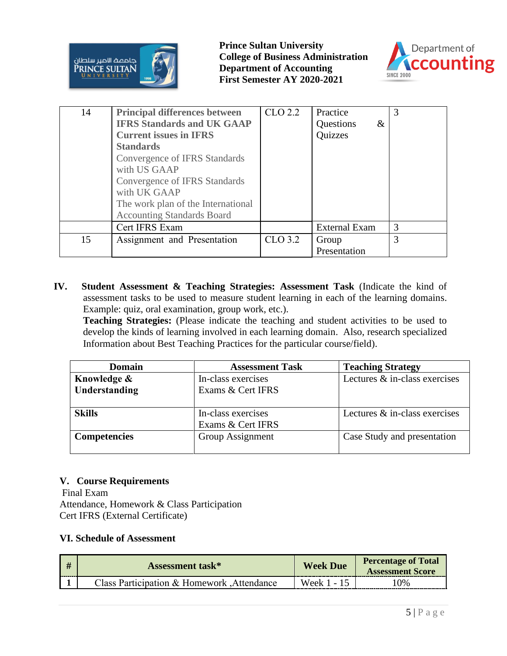



| 14 | <b>Principal differences between</b> | CLO 2.2 | Practice             | $\mathcal{R}$ |
|----|--------------------------------------|---------|----------------------|---------------|
|    | <b>IFRS Standards and UK GAAP</b>    |         | Questions<br>$\&$    |               |
|    | <b>Current issues in IFRS</b>        |         | Quizzes              |               |
|    | <b>Standards</b>                     |         |                      |               |
|    | Convergence of IFRS Standards        |         |                      |               |
|    | with US GAAP                         |         |                      |               |
|    | Convergence of IFRS Standards        |         |                      |               |
|    | with UK GAAP                         |         |                      |               |
|    | The work plan of the International   |         |                      |               |
|    | <b>Accounting Standards Board</b>    |         |                      |               |
|    | Cert IFRS Exam                       |         | <b>External Exam</b> | 3             |
| 15 | Assignment and Presentation          | CLO 3.2 | Group                | 3             |
|    |                                      |         | Presentation         |               |

**IV. Student Assessment & Teaching Strategies: Assessment Task** (Indicate the kind of assessment tasks to be used to measure student learning in each of the learning domains. Example: quiz, oral examination, group work, etc.).

**Teaching Strategies:** (Please indicate the teaching and student activities to be used to develop the kinds of learning involved in each learning domain. Also, research specialized Information about Best Teaching Practices for the particular course/field).

| <b>Domain</b>       | <b>Assessment Task</b> | <b>Teaching Strategy</b>      |  |
|---------------------|------------------------|-------------------------------|--|
| Knowledge &         | In-class exercises     | Lectures & in-class exercises |  |
| Understanding       | Exams & Cert IFRS      |                               |  |
|                     |                        |                               |  |
| <b>Skills</b>       | In-class exercises     | Lectures & in-class exercises |  |
|                     | Exams & Cert IFRS      |                               |  |
| <b>Competencies</b> | Group Assignment       | Case Study and presentation   |  |
|                     |                        |                               |  |

## **V. Course Requirements**

Final Exam Attendance, Homework & Class Participation Cert IFRS (External Certificate)

#### **VI. Schedule of Assessment**

| # | <b>Assessment task*</b>                     | <b>Week Due</b>                        | <b>Percentage of Total</b><br><b>Assessment Score</b> |
|---|---------------------------------------------|----------------------------------------|-------------------------------------------------------|
|   | Class Participation & Homework , Attendance | $\blacksquare$ Week 1 - $\blacksquare$ | 0%                                                    |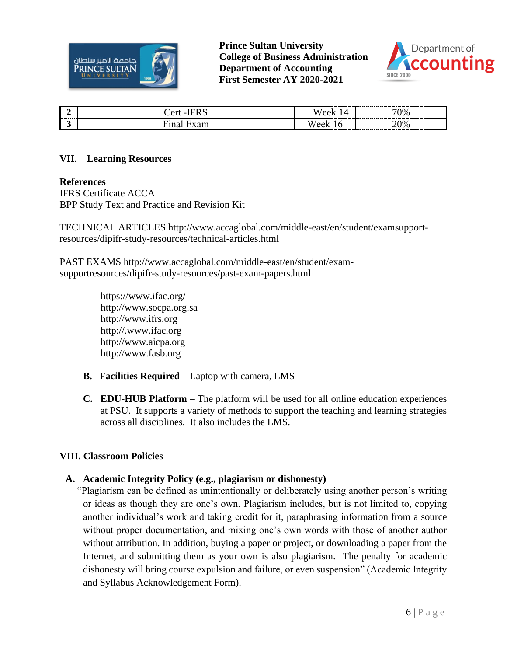



| --------- | ^r | $\gamma_{\%}$       |
|-----------|----|---------------------|
|           |    | $\gamma_{0}$<br>' U |

#### **VII. Learning Resources**

#### **References**

IFRS Certificate ACCA BPP Study Text and Practice and Revision Kit

TECHNICAL ARTICLES http://www.accaglobal.com/middle-east/en/student/examsupportresources/dipifr-study-resources/technical-articles.html

PAST EXAMS http://www.accaglobal.com/middle-east/en/student/examsupportresources/dipifr-study-resources/past-exam-papers.html

> https://www.ifac.org/ http://www.socpa.org.sa http://www.ifrs.org http://.www.ifac.org http://www.aicpa.org http://www.fasb.org

- **B. Facilities Required** Laptop with camera, LMS
- **C. EDU-HUB Platform –** The platform will be used for all online education experiences at PSU. It supports a variety of methods to support the teaching and learning strategies across all disciplines. It also includes the LMS.

#### **VIII. Classroom Policies**

#### **A. Academic Integrity Policy (e.g., plagiarism or dishonesty)**

"Plagiarism can be defined as unintentionally or deliberately using another person's writing or ideas as though they are one's own. Plagiarism includes, but is not limited to, copying another individual's work and taking credit for it, paraphrasing information from a source without proper documentation, and mixing one's own words with those of another author without attribution. In addition, buying a paper or project, or downloading a paper from the Internet, and submitting them as your own is also plagiarism. The penalty for academic dishonesty will bring course expulsion and failure, or even suspension" (Academic Integrity and Syllabus Acknowledgement Form).